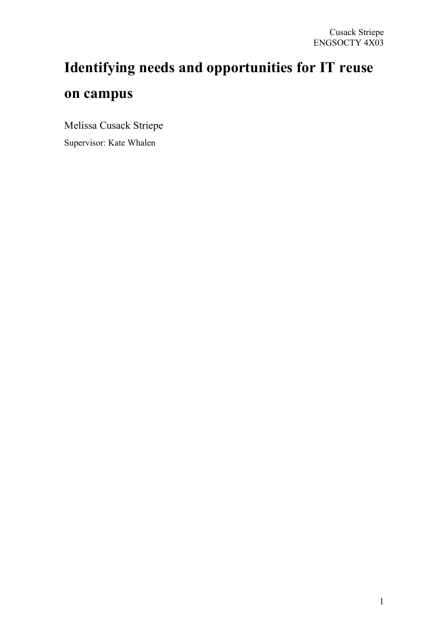# **Identifying needs and opportunities for IT reuse on campus**

Melissa Cusack Striepe Supervisor: Kate Whalen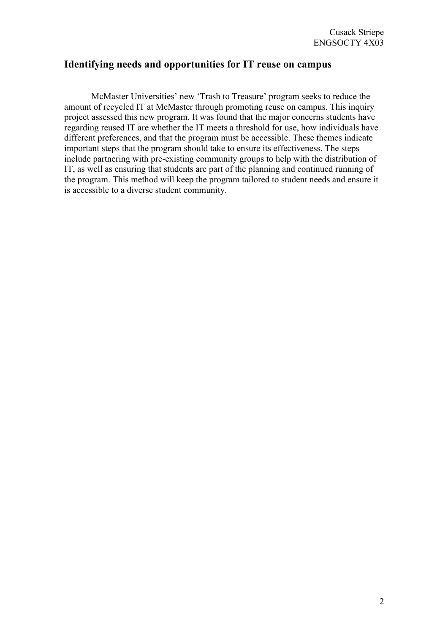# **Identifying needs and opportunities for IT reuse on campus**

McMaster Universities' new 'Trash to Treasure' program seeks to reduce the amount of recycled IT at McMaster through promoting reuse on campus. This inquiry project assessed this new program. It was found that the major concerns students have regarding reused IT are whether the IT meets a threshold for use, how individuals have different preferences, and that the program must be accessible. These themes indicate important steps that the program should take to ensure its effectiveness. The steps include partnering with pre-existing community groups to help with the distribution of IT, as well as ensuring that students are part of the planning and continued running of the program. This method will keep the program tailored to student needs and ensure it is accessible to a diverse student community.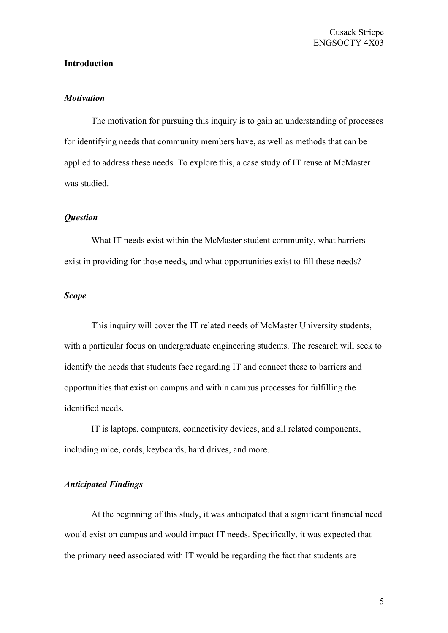## **Introduction**

## *Motivation*

The motivation for pursuing this inquiry is to gain an understanding of processes for identifying needs that community members have, as well as methods that can be applied to address these needs. To explore this, a case study of IT reuse at McMaster was studied.

#### *Question*

What IT needs exist within the McMaster student community, what barriers exist in providing for those needs, and what opportunities exist to fill these needs?

## *Scope*

This inquiry will cover the IT related needs of McMaster University students, with a particular focus on undergraduate engineering students. The research will seek to identify the needs that students face regarding IT and connect these to barriers and opportunities that exist on campus and within campus processes for fulfilling the identified needs.

IT is laptops, computers, connectivity devices, and all related components, including mice, cords, keyboards, hard drives, and more.

## *Anticipated Findings*

At the beginning of this study, it was anticipated that a significant financial need would exist on campus and would impact IT needs. Specifically, it was expected that the primary need associated with IT would be regarding the fact that students are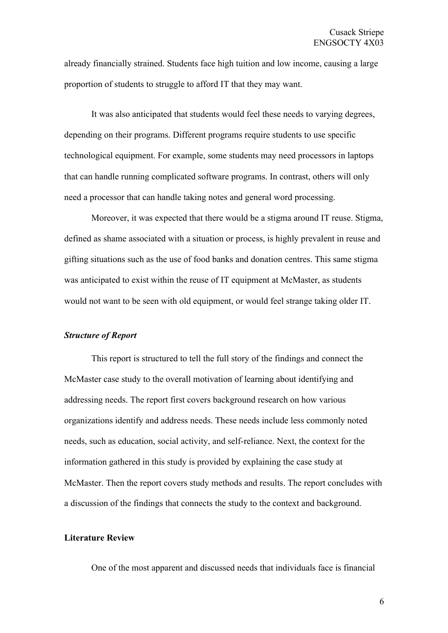already financially strained. Students face high tuition and low income, causing a large proportion of students to struggle to afford IT that they may want.

It was also anticipated that students would feel these needs to varying degrees, depending on their programs. Different programs require students to use specific technological equipment. For example, some students may need processors in laptops that can handle running complicated software programs. In contrast, others will only need a processor that can handle taking notes and general word processing.

Moreover, it was expected that there would be a stigma around IT reuse. Stigma, defined as shame associated with a situation or process, is highly prevalent in reuse and gifting situations such as the use of food banks and donation centres. This same stigma was anticipated to exist within the reuse of IT equipment at McMaster, as students would not want to be seen with old equipment, or would feel strange taking older IT.

## *Structure of Report*

This report is structured to tell the full story of the findings and connect the McMaster case study to the overall motivation of learning about identifying and addressing needs. The report first covers background research on how various organizations identify and address needs. These needs include less commonly noted needs, such as education, social activity, and self-reliance. Next, the context for the information gathered in this study is provided by explaining the case study at McMaster. Then the report covers study methods and results. The report concludes with a discussion of the findings that connects the study to the context and background.

#### **Literature Review**

One of the most apparent and discussed needs that individuals face is financial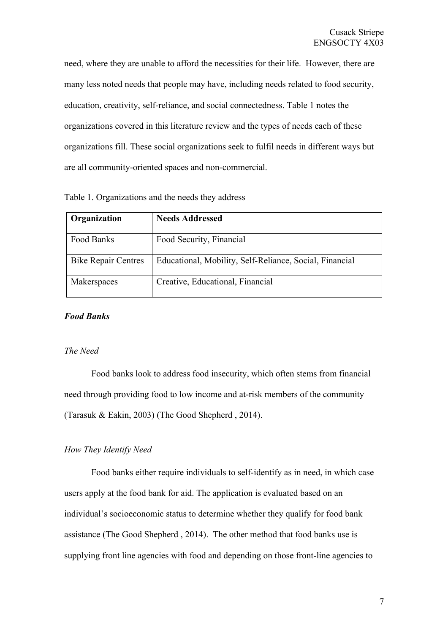need, where they are unable to afford the necessities for their life. However, there are many less noted needs that people may have, including needs related to food security, education, creativity, self-reliance, and social connectedness. Table 1 notes the organizations covered in this literature review and the types of needs each of these organizations fill. These social organizations seek to fulfil needs in different ways but are all community-oriented spaces and non-commercial.

| Organization               | <b>Needs Addressed</b>                                  |
|----------------------------|---------------------------------------------------------|
| Food Banks                 | Food Security, Financial                                |
| <b>Bike Repair Centres</b> | Educational, Mobility, Self-Reliance, Social, Financial |
| Makerspaces                | Creative, Educational, Financial                        |

Table 1. Organizations and the needs they address

## *Food Banks*

#### *The Need*

Food banks look to address food insecurity, which often stems from financial need through providing food to low income and at-risk members of the community (Tarasuk & Eakin, 2003) (The Good Shepherd , 2014).

## *How They Identify Need*

Food banks either require individuals to self-identify as in need, in which case users apply at the food bank for aid. The application is evaluated based on an individual's socioeconomic status to determine whether they qualify for food bank assistance (The Good Shepherd , 2014). The other method that food banks use is supplying front line agencies with food and depending on those front-line agencies to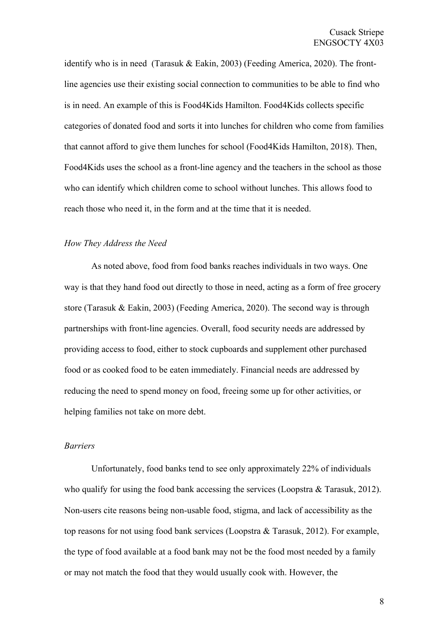identify who is in need (Tarasuk & Eakin, 2003) (Feeding America, 2020). The frontline agencies use their existing social connection to communities to be able to find who is in need. An example of this is Food4Kids Hamilton. Food4Kids collects specific categories of donated food and sorts it into lunches for children who come from families that cannot afford to give them lunches for school (Food4Kids Hamilton, 2018). Then, Food4Kids uses the school as a front-line agency and the teachers in the school as those who can identify which children come to school without lunches. This allows food to reach those who need it, in the form and at the time that it is needed.

#### *How They Address the Need*

As noted above, food from food banks reaches individuals in two ways. One way is that they hand food out directly to those in need, acting as a form of free grocery store (Tarasuk & Eakin, 2003) (Feeding America, 2020). The second way is through partnerships with front-line agencies. Overall, food security needs are addressed by providing access to food, either to stock cupboards and supplement other purchased food or as cooked food to be eaten immediately. Financial needs are addressed by reducing the need to spend money on food, freeing some up for other activities, or helping families not take on more debt.

#### *Barriers*

Unfortunately, food banks tend to see only approximately 22% of individuals who qualify for using the food bank accessing the services (Loopstra & Tarasuk, 2012). Non-users cite reasons being non-usable food, stigma, and lack of accessibility as the top reasons for not using food bank services (Loopstra & Tarasuk, 2012). For example, the type of food available at a food bank may not be the food most needed by a family or may not match the food that they would usually cook with. However, the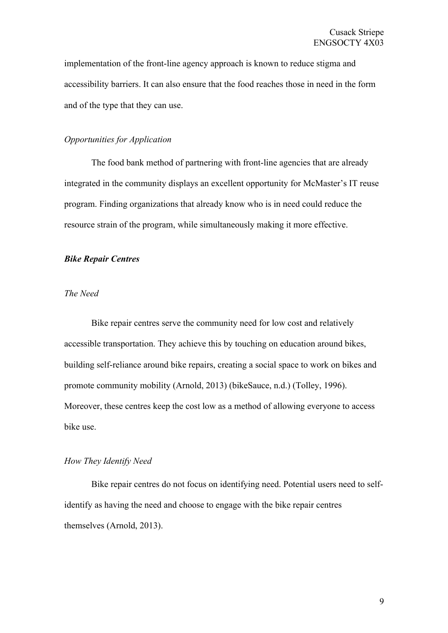implementation of the front-line agency approach is known to reduce stigma and accessibility barriers. It can also ensure that the food reaches those in need in the form and of the type that they can use.

## *Opportunities for Application*

The food bank method of partnering with front-line agencies that are already integrated in the community displays an excellent opportunity for McMaster's IT reuse program. Finding organizations that already know who is in need could reduce the resource strain of the program, while simultaneously making it more effective.

#### *Bike Repair Centres*

## *The Need*

Bike repair centres serve the community need for low cost and relatively accessible transportation. They achieve this by touching on education around bikes, building self-reliance around bike repairs, creating a social space to work on bikes and promote community mobility (Arnold, 2013) (bikeSauce, n.d.) (Tolley, 1996). Moreover, these centres keep the cost low as a method of allowing everyone to access bike use.

#### *How They Identify Need*

Bike repair centres do not focus on identifying need. Potential users need to selfidentify as having the need and choose to engage with the bike repair centres themselves (Arnold, 2013).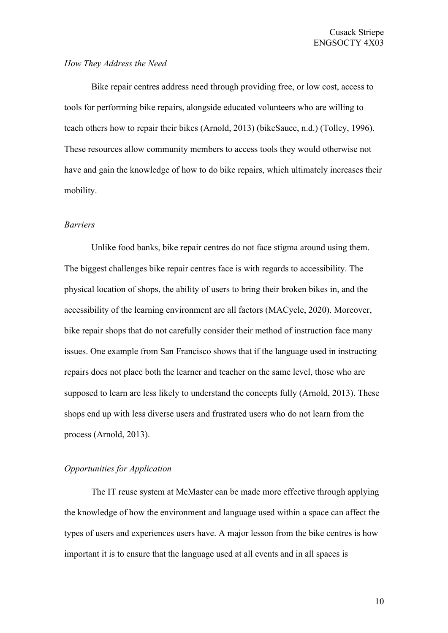## *How They Address the Need*

Bike repair centres address need through providing free, or low cost, access to tools for performing bike repairs, alongside educated volunteers who are willing to teach others how to repair their bikes (Arnold, 2013) (bikeSauce, n.d.) (Tolley, 1996). These resources allow community members to access tools they would otherwise not have and gain the knowledge of how to do bike repairs, which ultimately increases their mobility.

#### *Barriers*

Unlike food banks, bike repair centres do not face stigma around using them. The biggest challenges bike repair centres face is with regards to accessibility. The physical location of shops, the ability of users to bring their broken bikes in, and the accessibility of the learning environment are all factors (MACycle, 2020). Moreover, bike repair shops that do not carefully consider their method of instruction face many issues. One example from San Francisco shows that if the language used in instructing repairs does not place both the learner and teacher on the same level, those who are supposed to learn are less likely to understand the concepts fully (Arnold, 2013). These shops end up with less diverse users and frustrated users who do not learn from the process (Arnold, 2013).

## *Opportunities for Application*

The IT reuse system at McMaster can be made more effective through applying the knowledge of how the environment and language used within a space can affect the types of users and experiences users have. A major lesson from the bike centres is how important it is to ensure that the language used at all events and in all spaces is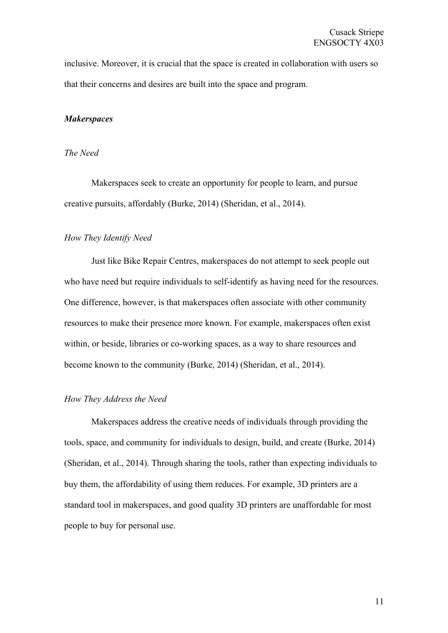inclusive. Moreover, it is crucial that the space is created in collaboration with users so that their concerns and desires are built into the space and program.

#### *Makerspaces*

## *The Need*

Makerspaces seek to create an opportunity for people to learn, and pursue creative pursuits, affordably (Burke, 2014) (Sheridan, et al., 2014).

#### *How They Identify Need*

Just like Bike Repair Centres, makerspaces do not attempt to seek people out who have need but require individuals to self-identify as having need for the resources. One difference, however, is that makerspaces often associate with other community resources to make their presence more known. For example, makerspaces often exist within, or beside, libraries or co-working spaces, as a way to share resources and become known to the community (Burke, 2014) (Sheridan, et al., 2014).

### *How They Address the Need*

Makerspaces address the creative needs of individuals through providing the tools, space, and community for individuals to design, build, and create (Burke, 2014) (Sheridan, et al., 2014). Through sharing the tools, rather than expecting individuals to buy them, the affordability of using them reduces. For example, 3D printers are a standard tool in makerspaces, and good quality 3D printers are unaffordable for most people to buy for personal use.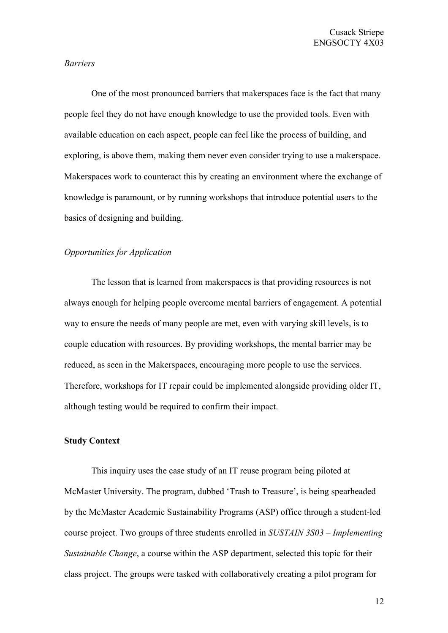### *Barriers*

One of the most pronounced barriers that makerspaces face is the fact that many people feel they do not have enough knowledge to use the provided tools. Even with available education on each aspect, people can feel like the process of building, and exploring, is above them, making them never even consider trying to use a makerspace. Makerspaces work to counteract this by creating an environment where the exchange of knowledge is paramount, or by running workshops that introduce potential users to the basics of designing and building.

## *Opportunities for Application*

The lesson that is learned from makerspaces is that providing resources is not always enough for helping people overcome mental barriers of engagement. A potential way to ensure the needs of many people are met, even with varying skill levels, is to couple education with resources. By providing workshops, the mental barrier may be reduced, as seen in the Makerspaces, encouraging more people to use the services. Therefore, workshops for IT repair could be implemented alongside providing older IT, although testing would be required to confirm their impact.

## **Study Context**

This inquiry uses the case study of an IT reuse program being piloted at McMaster University. The program, dubbed 'Trash to Treasure', is being spearheaded by the McMaster Academic Sustainability Programs (ASP) office through a student-led course project. Two groups of three students enrolled in *SUSTAIN 3S03 – Implementing Sustainable Change*, a course within the ASP department, selected this topic for their class project. The groups were tasked with collaboratively creating a pilot program for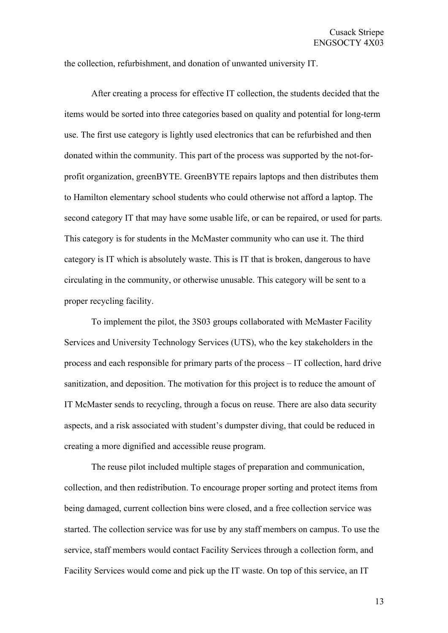the collection, refurbishment, and donation of unwanted university IT.

After creating a process for effective IT collection, the students decided that the items would be sorted into three categories based on quality and potential for long-term use. The first use category is lightly used electronics that can be refurbished and then donated within the community. This part of the process was supported by the not-forprofit organization, greenBYTE. GreenBYTE repairs laptops and then distributes them to Hamilton elementary school students who could otherwise not afford a laptop. The second category IT that may have some usable life, or can be repaired, or used for parts. This category is for students in the McMaster community who can use it. The third category is IT which is absolutely waste. This is IT that is broken, dangerous to have circulating in the community, or otherwise unusable. This category will be sent to a proper recycling facility.

To implement the pilot, the 3S03 groups collaborated with McMaster Facility Services and University Technology Services (UTS), who the key stakeholders in the process and each responsible for primary parts of the process – IT collection, hard drive sanitization, and deposition. The motivation for this project is to reduce the amount of IT McMaster sends to recycling, through a focus on reuse. There are also data security aspects, and a risk associated with student's dumpster diving, that could be reduced in creating a more dignified and accessible reuse program.

The reuse pilot included multiple stages of preparation and communication, collection, and then redistribution. To encourage proper sorting and protect items from being damaged, current collection bins were closed, and a free collection service was started. The collection service was for use by any staff members on campus. To use the service, staff members would contact Facility Services through a collection form, and Facility Services would come and pick up the IT waste. On top of this service, an IT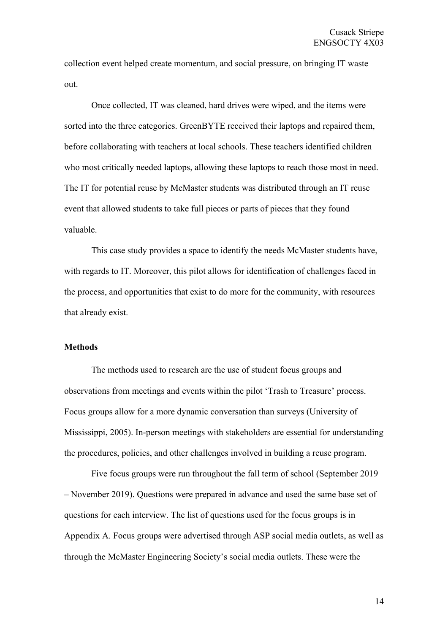collection event helped create momentum, and social pressure, on bringing IT waste out.

Once collected, IT was cleaned, hard drives were wiped, and the items were sorted into the three categories. GreenBYTE received their laptops and repaired them, before collaborating with teachers at local schools. These teachers identified children who most critically needed laptops, allowing these laptops to reach those most in need. The IT for potential reuse by McMaster students was distributed through an IT reuse event that allowed students to take full pieces or parts of pieces that they found valuable.

This case study provides a space to identify the needs McMaster students have, with regards to IT. Moreover, this pilot allows for identification of challenges faced in the process, and opportunities that exist to do more for the community, with resources that already exist.

## **Methods**

The methods used to research are the use of student focus groups and observations from meetings and events within the pilot 'Trash to Treasure' process. Focus groups allow for a more dynamic conversation than surveys (University of Mississippi, 2005). In-person meetings with stakeholders are essential for understanding the procedures, policies, and other challenges involved in building a reuse program.

Five focus groups were run throughout the fall term of school (September 2019 – November 2019). Questions were prepared in advance and used the same base set of questions for each interview. The list of questions used for the focus groups is in Appendix A. Focus groups were advertised through ASP social media outlets, as well as through the McMaster Engineering Society's social media outlets. These were the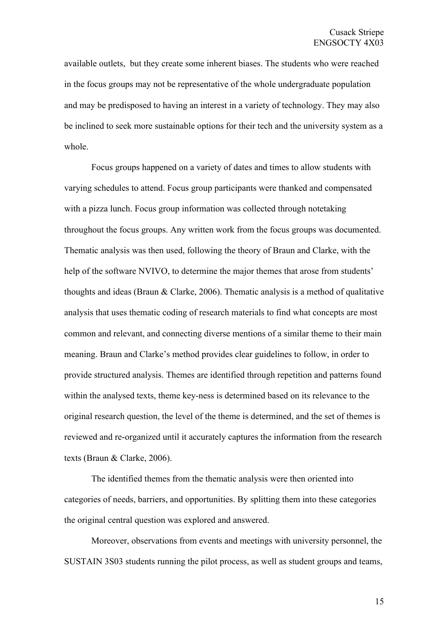available outlets, but they create some inherent biases. The students who were reached in the focus groups may not be representative of the whole undergraduate population and may be predisposed to having an interest in a variety of technology. They may also be inclined to seek more sustainable options for their tech and the university system as a whole.

Focus groups happened on a variety of dates and times to allow students with varying schedules to attend. Focus group participants were thanked and compensated with a pizza lunch. Focus group information was collected through notetaking throughout the focus groups. Any written work from the focus groups was documented. Thematic analysis was then used, following the theory of Braun and Clarke, with the help of the software NVIVO, to determine the major themes that arose from students' thoughts and ideas (Braun  $&$  Clarke, 2006). Thematic analysis is a method of qualitative analysis that uses thematic coding of research materials to find what concepts are most common and relevant, and connecting diverse mentions of a similar theme to their main meaning. Braun and Clarke's method provides clear guidelines to follow, in order to provide structured analysis. Themes are identified through repetition and patterns found within the analysed texts, theme key-ness is determined based on its relevance to the original research question, the level of the theme is determined, and the set of themes is reviewed and re-organized until it accurately captures the information from the research texts (Braun & Clarke, 2006).

The identified themes from the thematic analysis were then oriented into categories of needs, barriers, and opportunities. By splitting them into these categories the original central question was explored and answered.

Moreover, observations from events and meetings with university personnel, the SUSTAIN 3S03 students running the pilot process, as well as student groups and teams,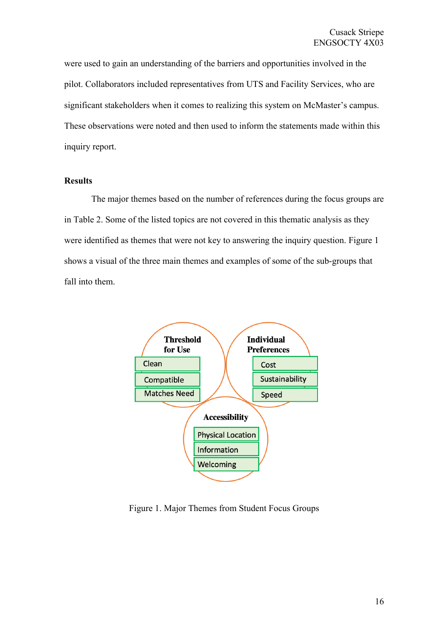were used to gain an understanding of the barriers and opportunities involved in the pilot. Collaborators included representatives from UTS and Facility Services, who are significant stakeholders when it comes to realizing this system on McMaster's campus. These observations were noted and then used to inform the statements made within this inquiry report.

## **Results**

The major themes based on the number of references during the focus groups are in Table 2. Some of the listed topics are not covered in this thematic analysis as they were identified as themes that were not key to answering the inquiry question. Figure 1 shows a visual of the three main themes and examples of some of the sub-groups that fall into them.



Figure 1. Major Themes from Student Focus Groups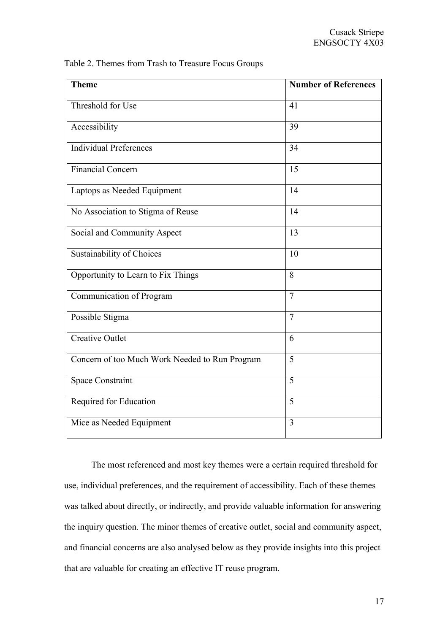| <b>Theme</b>                                   | <b>Number of References</b> |
|------------------------------------------------|-----------------------------|
| Threshold for Use                              | 41                          |
| Accessibility                                  | 39                          |
| Individual Preferences                         | 34                          |
| <b>Financial Concern</b>                       | 15                          |
| Laptops as Needed Equipment                    | 14                          |
| No Association to Stigma of Reuse              | 14                          |
| Social and Community Aspect                    | 13                          |
| Sustainability of Choices                      | 10                          |
| Opportunity to Learn to Fix Things             | 8                           |
| Communication of Program                       | $\tau$                      |
| Possible Stigma                                | $\tau$                      |
| <b>Creative Outlet</b>                         | 6                           |
| Concern of too Much Work Needed to Run Program | 5                           |
| <b>Space Constraint</b>                        | 5                           |
| Required for Education                         | 5                           |
| Mice as Needed Equipment                       | 3                           |

The most referenced and most key themes were a certain required threshold for use, individual preferences, and the requirement of accessibility. Each of these themes was talked about directly, or indirectly, and provide valuable information for answering the inquiry question. The minor themes of creative outlet, social and community aspect, and financial concerns are also analysed below as they provide insights into this project that are valuable for creating an effective IT reuse program.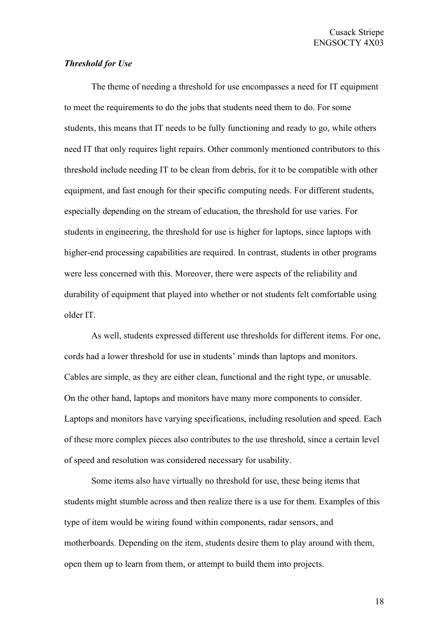## *Threshold for Use*

The theme of needing a threshold for use encompasses a need for IT equipment to meet the requirements to do the jobs that students need them to do. For some students, this means that IT needs to be fully functioning and ready to go, while others need IT that only requires light repairs. Other commonly mentioned contributors to this threshold include needing IT to be clean from debris, for it to be compatible with other equipment, and fast enough for their specific computing needs. For different students, especially depending on the stream of education, the threshold for use varies. For students in engineering, the threshold for use is higher for laptops, since laptops with higher-end processing capabilities are required. In contrast, students in other programs were less concerned with this. Moreover, there were aspects of the reliability and durability of equipment that played into whether or not students felt comfortable using older IT.

As well, students expressed different use thresholds for different items. For one, cords had a lower threshold for use in students' minds than laptops and monitors. Cables are simple, as they are either clean, functional and the right type, or unusable. On the other hand, laptops and monitors have many more components to consider. Laptops and monitors have varying specifications, including resolution and speed. Each of these more complex pieces also contributes to the use threshold, since a certain level of speed and resolution was considered necessary for usability.

Some items also have virtually no threshold for use, these being items that students might stumble across and then realize there is a use for them. Examples of this type of item would be wiring found within components, radar sensors, and motherboards. Depending on the item, students desire them to play around with them, open them up to learn from them, or attempt to build them into projects.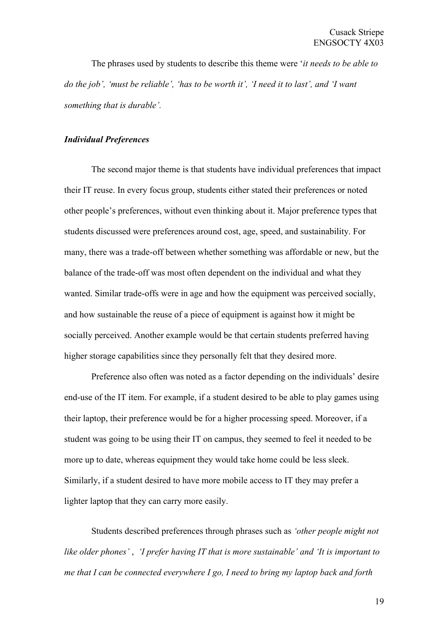The phrases used by students to describe this theme were '*it needs to be able to do the job', 'must be reliable', 'has to be worth it', 'I need it to last', and 'I want something that is durable'.* 

## *Individual Preferences*

The second major theme is that students have individual preferences that impact their IT reuse. In every focus group, students either stated their preferences or noted other people's preferences, without even thinking about it. Major preference types that students discussed were preferences around cost, age, speed, and sustainability. For many, there was a trade-off between whether something was affordable or new, but the balance of the trade-off was most often dependent on the individual and what they wanted. Similar trade-offs were in age and how the equipment was perceived socially, and how sustainable the reuse of a piece of equipment is against how it might be socially perceived. Another example would be that certain students preferred having higher storage capabilities since they personally felt that they desired more.

Preference also often was noted as a factor depending on the individuals' desire end-use of the IT item. For example, if a student desired to be able to play games using their laptop, their preference would be for a higher processing speed. Moreover, if a student was going to be using their IT on campus, they seemed to feel it needed to be more up to date, whereas equipment they would take home could be less sleek. Similarly, if a student desired to have more mobile access to IT they may prefer a lighter laptop that they can carry more easily.

Students described preferences through phrases such as *'other people might not like older phones'* , *'I prefer having IT that is more sustainable' and 'It is important to me that I can be connected everywhere I go, I need to bring my laptop back and forth*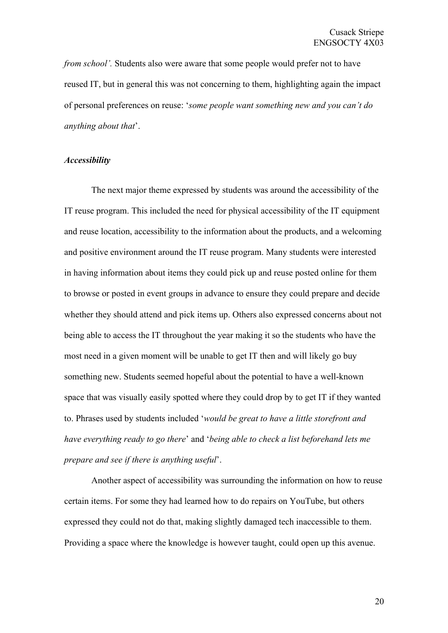*from school'*. Students also were aware that some people would prefer not to have reused IT, but in general this was not concerning to them, highlighting again the impact of personal preferences on reuse: '*some people want something new and you can't do anything about that*'.

## *Accessibility*

The next major theme expressed by students was around the accessibility of the IT reuse program. This included the need for physical accessibility of the IT equipment and reuse location, accessibility to the information about the products, and a welcoming and positive environment around the IT reuse program. Many students were interested in having information about items they could pick up and reuse posted online for them to browse or posted in event groups in advance to ensure they could prepare and decide whether they should attend and pick items up. Others also expressed concerns about not being able to access the IT throughout the year making it so the students who have the most need in a given moment will be unable to get IT then and will likely go buy something new. Students seemed hopeful about the potential to have a well-known space that was visually easily spotted where they could drop by to get IT if they wanted to. Phrases used by students included '*would be great to have a little storefront and have everything ready to go there*' and '*being able to check a list beforehand lets me prepare and see if there is anything useful*'.

Another aspect of accessibility was surrounding the information on how to reuse certain items. For some they had learned how to do repairs on YouTube, but others expressed they could not do that, making slightly damaged tech inaccessible to them. Providing a space where the knowledge is however taught, could open up this avenue.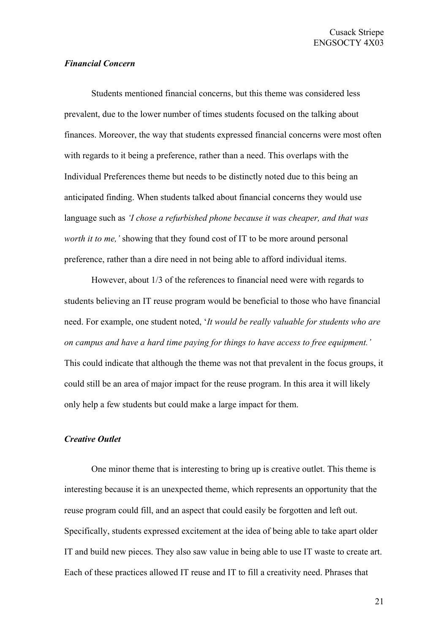## *Financial Concern*

Students mentioned financial concerns, but this theme was considered less prevalent, due to the lower number of times students focused on the talking about finances. Moreover, the way that students expressed financial concerns were most often with regards to it being a preference, rather than a need. This overlaps with the Individual Preferences theme but needs to be distinctly noted due to this being an anticipated finding. When students talked about financial concerns they would use language such as *'I chose a refurbished phone because it was cheaper, and that was worth it to me,'* showing that they found cost of IT to be more around personal preference, rather than a dire need in not being able to afford individual items.

However, about 1/3 of the references to financial need were with regards to students believing an IT reuse program would be beneficial to those who have financial need. For example, one student noted, '*It would be really valuable for students who are on campus and have a hard time paying for things to have access to free equipment.'*  This could indicate that although the theme was not that prevalent in the focus groups, it could still be an area of major impact for the reuse program. In this area it will likely only help a few students but could make a large impact for them.

#### *Creative Outlet*

One minor theme that is interesting to bring up is creative outlet. This theme is interesting because it is an unexpected theme, which represents an opportunity that the reuse program could fill, and an aspect that could easily be forgotten and left out. Specifically, students expressed excitement at the idea of being able to take apart older IT and build new pieces. They also saw value in being able to use IT waste to create art. Each of these practices allowed IT reuse and IT to fill a creativity need. Phrases that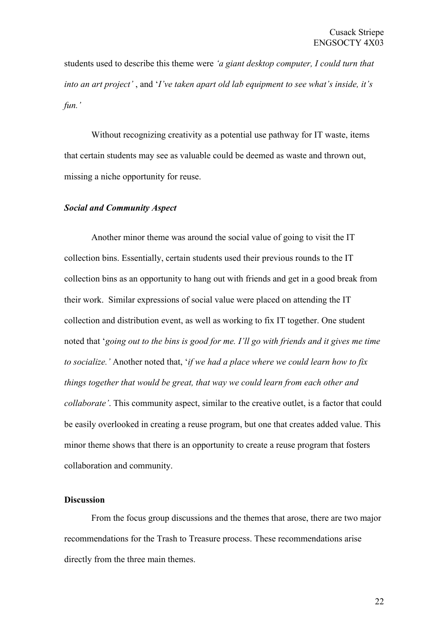students used to describe this theme were *'a giant desktop computer, I could turn that into an art project'* , and '*I've taken apart old lab equipment to see what's inside, it's fun.'* 

Without recognizing creativity as a potential use pathway for IT waste, items that certain students may see as valuable could be deemed as waste and thrown out, missing a niche opportunity for reuse.

#### *Social and Community Aspect*

Another minor theme was around the social value of going to visit the IT collection bins. Essentially, certain students used their previous rounds to the IT collection bins as an opportunity to hang out with friends and get in a good break from their work. Similar expressions of social value were placed on attending the IT collection and distribution event, as well as working to fix IT together. One student noted that '*going out to the bins is good for me. I'll go with friends and it gives me time to socialize.'* Another noted that, '*if we had a place where we could learn how to fix things together that would be great, that way we could learn from each other and collaborate'*. This community aspect, similar to the creative outlet, is a factor that could be easily overlooked in creating a reuse program, but one that creates added value. This minor theme shows that there is an opportunity to create a reuse program that fosters collaboration and community.

## **Discussion**

From the focus group discussions and the themes that arose, there are two major recommendations for the Trash to Treasure process. These recommendations arise directly from the three main themes.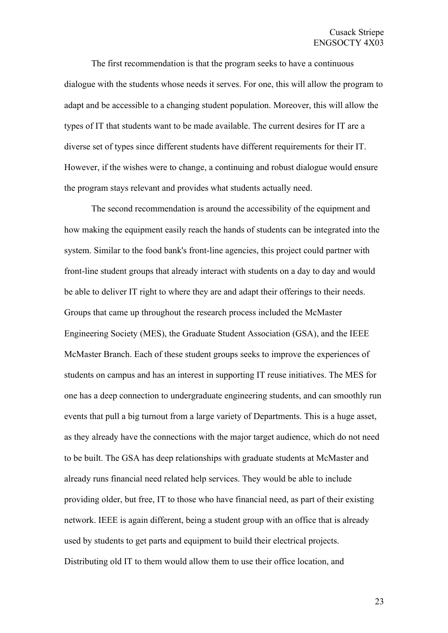The first recommendation is that the program seeks to have a continuous dialogue with the students whose needs it serves. For one, this will allow the program to adapt and be accessible to a changing student population. Moreover, this will allow the types of IT that students want to be made available. The current desires for IT are a diverse set of types since different students have different requirements for their IT. However, if the wishes were to change, a continuing and robust dialogue would ensure the program stays relevant and provides what students actually need.

The second recommendation is around the accessibility of the equipment and how making the equipment easily reach the hands of students can be integrated into the system. Similar to the food bank's front-line agencies, this project could partner with front-line student groups that already interact with students on a day to day and would be able to deliver IT right to where they are and adapt their offerings to their needs. Groups that came up throughout the research process included the McMaster Engineering Society (MES), the Graduate Student Association (GSA), and the IEEE McMaster Branch. Each of these student groups seeks to improve the experiences of students on campus and has an interest in supporting IT reuse initiatives. The MES for one has a deep connection to undergraduate engineering students, and can smoothly run events that pull a big turnout from a large variety of Departments. This is a huge asset, as they already have the connections with the major target audience, which do not need to be built. The GSA has deep relationships with graduate students at McMaster and already runs financial need related help services. They would be able to include providing older, but free, IT to those who have financial need, as part of their existing network. IEEE is again different, being a student group with an office that is already used by students to get parts and equipment to build their electrical projects. Distributing old IT to them would allow them to use their office location, and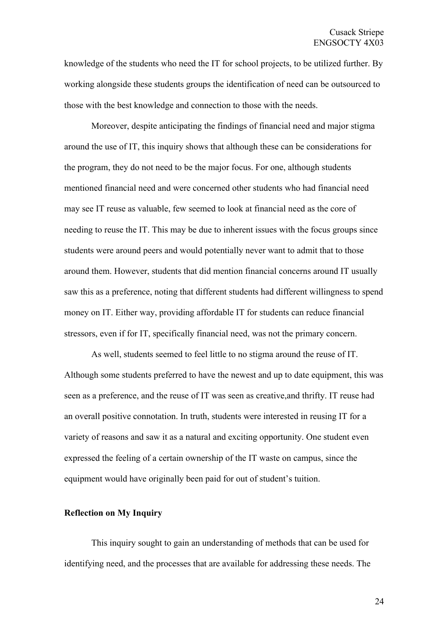knowledge of the students who need the IT for school projects, to be utilized further. By working alongside these students groups the identification of need can be outsourced to those with the best knowledge and connection to those with the needs.

Moreover, despite anticipating the findings of financial need and major stigma around the use of IT, this inquiry shows that although these can be considerations for the program, they do not need to be the major focus. For one, although students mentioned financial need and were concerned other students who had financial need may see IT reuse as valuable, few seemed to look at financial need as the core of needing to reuse the IT. This may be due to inherent issues with the focus groups since students were around peers and would potentially never want to admit that to those around them. However, students that did mention financial concerns around IT usually saw this as a preference, noting that different students had different willingness to spend money on IT. Either way, providing affordable IT for students can reduce financial stressors, even if for IT, specifically financial need, was not the primary concern.

As well, students seemed to feel little to no stigma around the reuse of IT. Although some students preferred to have the newest and up to date equipment, this was seen as a preference, and the reuse of IT was seen as creative,and thrifty. IT reuse had an overall positive connotation. In truth, students were interested in reusing IT for a variety of reasons and saw it as a natural and exciting opportunity. One student even expressed the feeling of a certain ownership of the IT waste on campus, since the equipment would have originally been paid for out of student's tuition.

#### **Reflection on My Inquiry**

This inquiry sought to gain an understanding of methods that can be used for identifying need, and the processes that are available for addressing these needs. The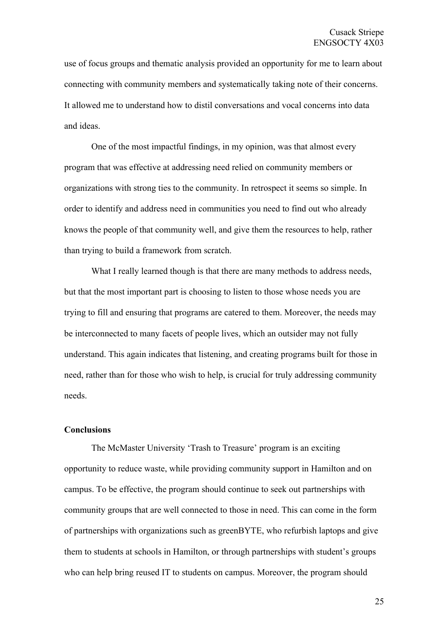use of focus groups and thematic analysis provided an opportunity for me to learn about connecting with community members and systematically taking note of their concerns. It allowed me to understand how to distil conversations and vocal concerns into data and ideas.

One of the most impactful findings, in my opinion, was that almost every program that was effective at addressing need relied on community members or organizations with strong ties to the community. In retrospect it seems so simple. In order to identify and address need in communities you need to find out who already knows the people of that community well, and give them the resources to help, rather than trying to build a framework from scratch.

What I really learned though is that there are many methods to address needs, but that the most important part is choosing to listen to those whose needs you are trying to fill and ensuring that programs are catered to them. Moreover, the needs may be interconnected to many facets of people lives, which an outsider may not fully understand. This again indicates that listening, and creating programs built for those in need, rather than for those who wish to help, is crucial for truly addressing community needs.

#### **Conclusions**

The McMaster University 'Trash to Treasure' program is an exciting opportunity to reduce waste, while providing community support in Hamilton and on campus. To be effective, the program should continue to seek out partnerships with community groups that are well connected to those in need. This can come in the form of partnerships with organizations such as greenBYTE, who refurbish laptops and give them to students at schools in Hamilton, or through partnerships with student's groups who can help bring reused IT to students on campus. Moreover, the program should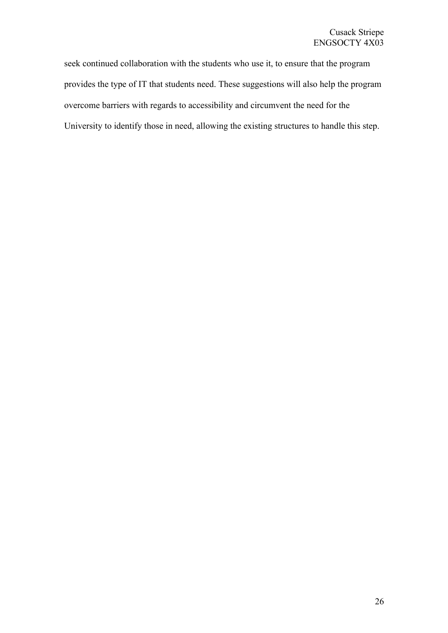seek continued collaboration with the students who use it, to ensure that the program provides the type of IT that students need. These suggestions will also help the program overcome barriers with regards to accessibility and circumvent the need for the University to identify those in need, allowing the existing structures to handle this step.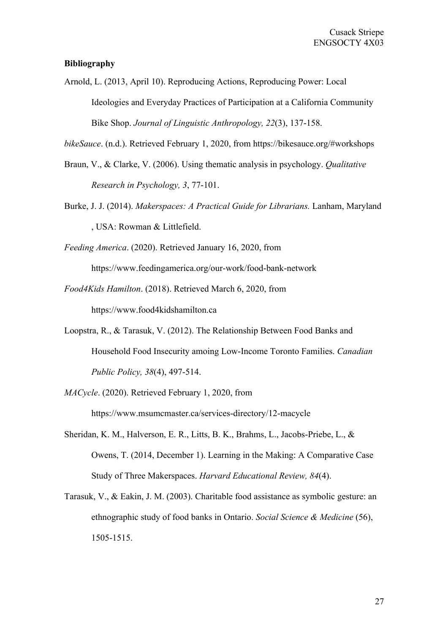## **Bibliography**

Arnold, L. (2013, April 10). Reproducing Actions, Reproducing Power: Local Ideologies and Everyday Practices of Participation at a California Community Bike Shop. *Journal of Linguistic Anthropology, 22*(3), 137-158.

*bikeSauce*. (n.d.). Retrieved February 1, 2020, from https://bikesauce.org/#workshops

- Braun, V., & Clarke, V. (2006). Using thematic analysis in psychology. *Qualitative Research in Psychology, 3*, 77-101.
- Burke, J. J. (2014). *Makerspaces: A Practical Guide for Librarians.* Lanham, Maryland , USA: Rowman & Littlefield.

*Feeding America*. (2020). Retrieved January 16, 2020, from

https://www.feedingamerica.org/our-work/food-bank-network

- *Food4Kids Hamilton*. (2018). Retrieved March 6, 2020, from https://www.food4kidshamilton.ca
- Loopstra, R., & Tarasuk, V. (2012). The Relationship Between Food Banks and Household Food Insecurity amoing Low-Income Toronto Families. *Canadian Public Policy, 38*(4), 497-514.
- *MACycle*. (2020). Retrieved February 1, 2020, from https://www.msumcmaster.ca/services-directory/12-macycle
- Sheridan, K. M., Halverson, E. R., Litts, B. K., Brahms, L., Jacobs-Priebe, L., & Owens, T. (2014, December 1). Learning in the Making: A Comparative Case Study of Three Makerspaces. *Harvard Educational Review, 84*(4).
- Tarasuk, V., & Eakin, J. M. (2003). Charitable food assistance as symbolic gesture: an ethnographic study of food banks in Ontario. *Social Science & Medicine* (56), 1505-1515.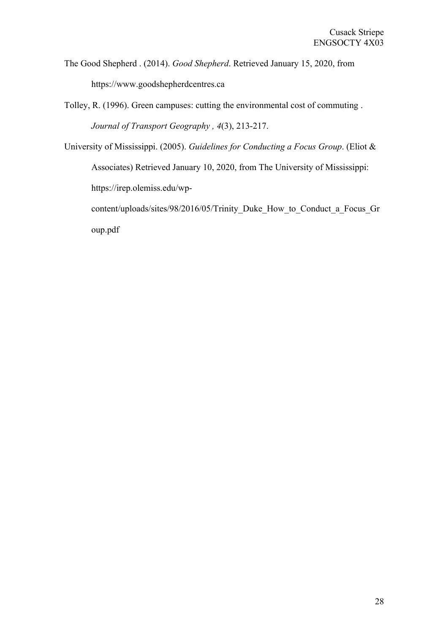The Good Shepherd . (2014). *Good Shepherd*. Retrieved January 15, 2020, from https://www.goodshepherdcentres.ca

- Tolley, R. (1996). Green campuses: cutting the environmental cost of commuting . *Journal of Transport Geography , 4*(3), 213-217.
- University of Mississippi. (2005). *Guidelines for Conducting a Focus Group*. (Eliot & Associates) Retrieved January 10, 2020, from The University of Mississippi: https://irep.olemiss.edu/wp-

content/uploads/sites/98/2016/05/Trinity\_Duke\_How\_to\_Conduct\_a\_Focus\_Gr oup.pdf